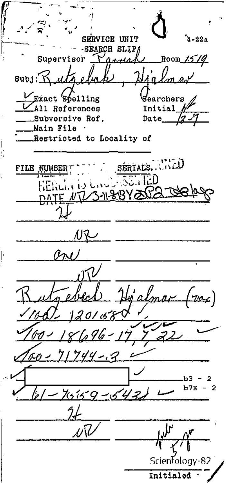SERVICE UNIT  $2.22a$ SEARCH SLIP/ Room 1519  $n_{max}$ Supervisor  $swb3:K$ uth ไม่^ Exact Spelling Searchers All References Initial Subversive Ref. Date Main File Restricted to Locality of SERTALS, AND FILE NUMBER  $\mathbb{Z}_0$  ,  $\widehat{\mathbb{E}}\widehat{\mathbb{D}}$ NR ari آلار High ∠)  $'01.6K$ r 96 –  $17/2$  $744 - 7$ b7E 2  $154$  $150 -$ มปิ Scientology-82 Initialed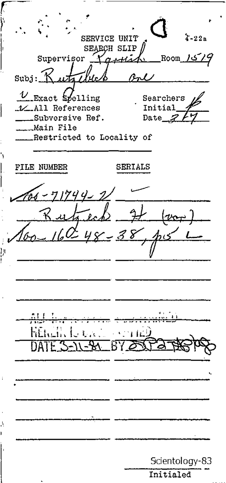SERVICE UNIT  $22a$ SEARCH SLIP Supervisor Room  $\text{subj}$  :  $K$  $U$  Exact spelling Searchers V All References Initial \_\_Subversive Ref. Date ...Main File Restricted to Locality of FILE NUMBER SERIALS 1744-2  $|w_{\mathrm{c}\pm}$ Б Scientology-83 Initialed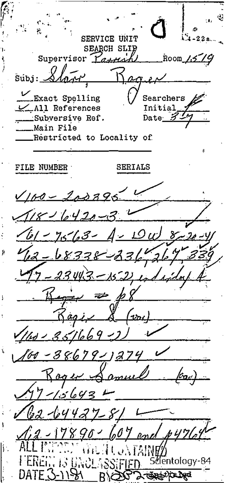**SERVICE UNIT**  $\ddot{=}$  -22a **SEARCH SLIJ** Room 1519 Supervisor *Yarman* .<br>Súbj:  $\alpha$ Exact Spelling Searchers  $\overline{\mathcal{L}}$  All References Initial Subversive Ref. Date<sub>12</sub> Main File Restricted to Locality of FILE NUMBER SERIALS  $\sqrt{160 - 200796}$  $18 - 6420 - 34$ <u>161-7563- A-10w 8</u> 42 - 68338 - 236, 267 339 197-23443-152, ed in  $R_{\text{right}} \neq \emptyset$ Regis & (voi)  $(160 - 35/1669 - 2)$ 160-38679-1274 Roger Samuel  $97 - 15643$  $\sqrt{22 - 64427 - 814}$ 2-17890-607 end #476 JATABIL Scientology-84 WLASSIFIEI DATE (S-1158) **ELECTE** RYOX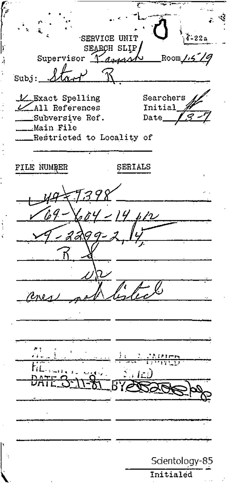SERVICE UNIT SEARCH SLIP Supervisor Room ans. Subj:\_ L Exact Spelling Searchers  $\mathcal{L}$ All References Initial \_\_Subversive Ref. Date\_ Main File Restricted to Locality of FILE NUMBER SERIALS  $14, b12$ Scientology-85 Initialed